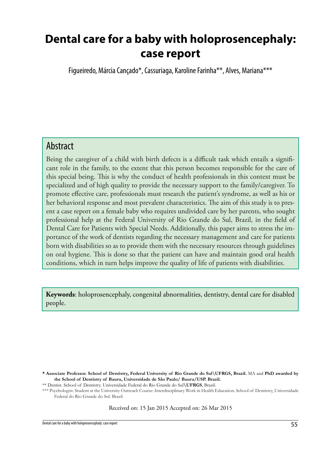# **Dental care for a baby with holoprosencephaly: case report**

Figueiredo, Márcia Cançado\*, Cassuriaga, Karoline Farinha\*\*, Alves, Mariana\*\*\*

### Abstract

Being the caregiver of a child with birth defects is a difficult task which entails a significant role in the family, to the extent that this person becomes responsible for the care of this special being. This is why the conduct of health professionals in this context must be specialized and of high quality to provide the necessary support to the family/caregiver. To promote effective care, professionals must research the patient's syndrome, as well as his or her behavioral response and most prevalent characteristics. The aim of this study is to present a case report on a female baby who requires undivided care by her parents, who sought professional help at the Federal University of Rio Grande do Sul, Brazil, in the field of Dental Care for Patients with Special Needs. Additionally, this paper aims to stress the importance of the work of dentists regarding the necessary management and care for patients born with disabilities so as to provide them with the necessary resources through guidelines on oral hygiene. This is done so that the patient can have and maintain good oral health conditions, which in turn helps improve the quality of life of patients with disabilities.

**Keywords**: holoprosencephaly, congenital abnormalities, dentistry, dental care for disabled people.

Received on: 15 Jan 2015 Accepted on: 26 Mar 2015

**<sup>\*</sup> Associate Professor. School of Dentistry, Federal University of Rio Grande do Sul\UFRGS, Brazil.** MA and **PhD awarded by the School of Dentistry of Bauru, Universidade de São Paulo/ Bauru/USP. Brazil.**

<sup>\*\*</sup> Dentist. School of Dentistry. Universidade Federal do Rio Grande do Sul**\UFRGS**, Brazil.

<sup>\*\*\*</sup> Psychologist. Student at the University Outreach Course: Interdisciplinary Work in Health Education. School of Dentistry, Universidade Federal do Rio Grande do Sul. Brazil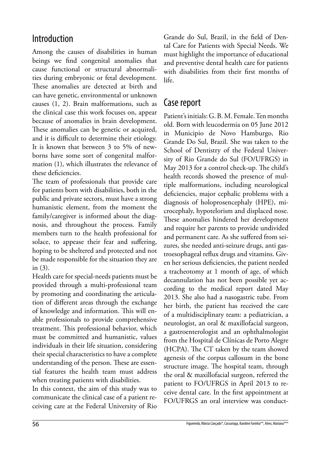## Introduction

Among the causes of disabilities in human beings we find congenital anomalies that cause functional or structural abnormalities during embryonic or fetal development. These anomalies are detected at birth and can have genetic, environmental or unknown causes (1, 2). Brain malformations, such as the clinical case this work focuses on, appear because of anomalies in brain development. These anomalies can be genetic or acquired, and it is difficult to determine their etiology. It is known that between 3 to 5% of newborns have some sort of congenital malformation (1), which illustrates the relevance of these deficiencies.

The team of professionals that provide care for patients born with disabilities, both in the public and private sectors, must have a strong humanistic element, from the moment the family/caregiver is informed about the diagnosis, and throughout the process. Family members turn to the health professional for solace, to appease their fear and suffering, hoping to be sheltered and protected and not be made responsible for the situation they are in (3).

Health care for special-needs patients must be provided through a multi-professional team by promoting and coordinating the articulation of different areas through the exchange of knowledge and information. This will enable professionals to provide comprehensive treatment. This professional behavior, which must be committed and humanistic, values individuals in their life situation, considering their special characteristics to have a complete understanding of the person. These are essential features the health team must address when treating patients with disabilities.

In this context, the aim of this study was to communicate the clinical case of a patient receiving care at the Federal University of Rio Grande do Sul, Brazil, in the field of Dental Care for Patients with Special Needs. We must highlight the importance of educational and preventive dental health care for patients with disabilities from their first months of life.

### Case report

Patient's initials: G. B. M. Female. Ten months old. Born with leucodermia on 05 June 2012 in Municipio de Novo Hamburgo, Rio Grande Do Sul, Brazil. She was taken to the School of Dentistry of the Federal University of Rio Grande do Sul (FO/UFRGS) in May 2013 for a control check-up. The child's health records showed the presence of multiple malformations, including neurological deficiencies, major cephalic problems with a diagnosis of holoprosencephaly (HPE), microcephaly, hypotelorism and displaced nose. These anomalies hindered her development and require her parents to provide undivided and permanent care. As she suffered from seizures, she needed anti-seizure drugs, anti gastroesophageal reflux drugs and vitamins. Given her serious deficiencies, the patient needed a tracheotomy at 1 month of age, of which decannulation has not been possible yet according to the medical report dated May 2013. She also had a nasogastric tube. From her birth, the patient has received the care of a multidisciplinary team: a pediatrician, a neurologist, an oral & maxillofacial surgeon, a gastroenterologist and an ophthalmologist from the Hospital de Clínicas de Porto Alegre (HCPA). The CT taken by the team showed agenesis of the corpus callosum in the bone structure image. The hospital team, through the oral & maxillofacial surgeon, referred the patient to FO/UFRGS in April 2013 to receive dental care. In the first appointment at FO/UFRGS an oral interview was conduct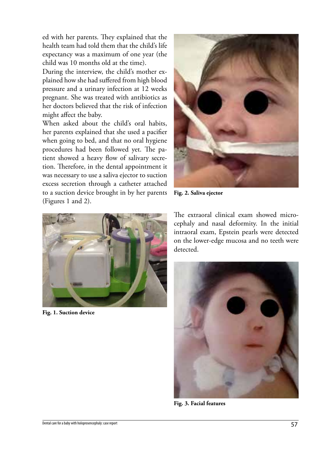ed with her parents. They explained that the health team had told them that the child's life expectancy was a maximum of one year (the child was 10 months old at the time).

During the interview, the child's mother explained how she had suffered from high blood pressure and a urinary infection at 12 weeks pregnant. She was treated with antibiotics as her doctors believed that the risk of infection might affect the baby.

When asked about the child's oral habits, her parents explained that she used a pacifier when going to bed, and that no oral hygiene procedures had been followed yet. The patient showed a heavy flow of salivary secretion. Therefore, in the dental appointment it was necessary to use a saliva ejector to suction excess secretion through a catheter attached to a suction device brought in by her parents (Figures 1 and 2).



**Fig. 2. Saliva ejector** 



**Fig. 1. Suction device**

The extraoral clinical exam showed microcephaly and nasal deformity. In the initial intraoral exam, Epstein pearls were detected on the lower-edge mucosa and no teeth were detected.



**Fig. 3. Facial features**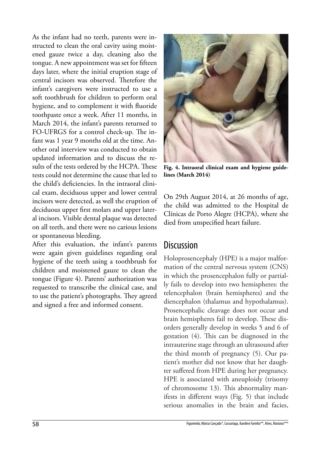As the infant had no teeth, parents were instructed to clean the oral cavity using moistened gauze twice a day, cleaning also the tongue. A new appointment was set for fifteen days later, where the initial eruption stage of central incisors was observed. Therefore the infant's caregivers were instructed to use a soft toothbrush for children to perform oral hygiene, and to complement it with fluoride toothpaste once a week. After 11 months, in March 2014, the infant's parents returned to FO-UFRGS for a control check-up. The infant was 1 year 9 months old at the time. Another oral interview was conducted to obtain updated information and to discuss the results of the tests ordered by the HCPA. These tests could not determine the cause that led to the child's deficiencies. In the intraoral clinical exam, deciduous upper and lower central incisors were detected, as well the eruption of deciduous upper first molars and upper lateral incisors. Visible dental plaque was detected on all teeth, and there were no carious lesions or spontaneous bleeding.

After this evaluation, the infant's parents were again given guidelines regarding oral hygiene of the teeth using a toothbrush for children and moistened gauze to clean the tongue (Figure 4). Parents' authorization was requested to transcribe the clinical case, and to use the patient's photographs. They agreed and signed a free and informed consent.



**Fig. 4. Intraoral clinical exam and hygiene guidelines (March 2014)**

On 29th August 2014, at 26 months of age, the child was admitted to the Hospital de Clínicas de Porto Alegre (HCPA), where she died from unspecified heart failure.

#### **Discussion**

Holoprosencephaly (HPE) is a major malformation of the central nervous system (CNS) in which the prosencephalon fully or partially fails to develop into two hemispheres: the telencephalon (brain hemispheres) and the diencephalon (thalamus and hypothalamus). Prosencephalic cleavage does not occur and brain hemispheres fail to develop. These disorders generally develop in weeks 5 and 6 of gestation (4). This can be diagnosed in the intrauterine stage through an ultrasound after the third month of pregnancy (5). Our patient's mother did not know that her daughter suffered from HPE during her pregnancy. HPE is associated with aneuploidy (trisomy of chromosome 13). This abnormality manifests in different ways (Fig. 5) that include serious anomalies in the brain and facies,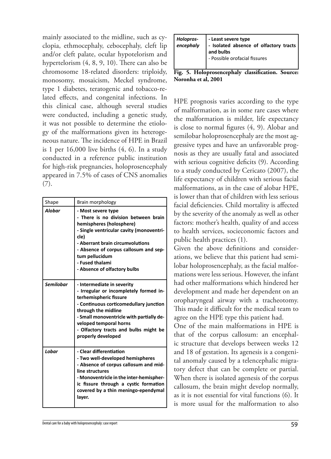mainly associated to the midline, such as cyclopia, ethmocephaly, cebocephaly, cleft lip and/or cleft palate, ocular hypotelorism and hypertelorism (4, 8, 9, 10). There can also be chromosome 18-related disorders: triploidy, monosomy, mosaicism, Meckel syndrome, type 1 diabetes, teratogenic and tobacco-related effects, and congenital infections. In this clinical case, although several studies were conducted, including a genetic study, it was not possible to determine the etiology of the malformations given its heterogeneous nature. The incidence of HPE in Brazil is 1 per  $16,000$  live births  $(4, 6)$ . In a study conducted in a reference public institution for high-risk pregnancies, holoprosencephaly appeared in 7.5% of cases of CNS anomalies (7).

| Shape            | Brain morphology                                                                                                                                                                                                                                                                                     |
|------------------|------------------------------------------------------------------------------------------------------------------------------------------------------------------------------------------------------------------------------------------------------------------------------------------------------|
| <b>Alobar</b>    | - Most severe type<br>- There is no division between brain<br>hemispheres (holosphere)<br>- Single ventricular cavity (monoventri-<br>cle)<br>- Aberrant brain circumvolutions<br>- Absence of corpus callosum and sep-<br>tum pellucidum<br>- Fused thalami<br>- Absence of olfactory bulbs         |
| <b>Semilobar</b> | - Intermediate in severity<br>- Irregular or incompletely formed in-<br>terhemispheric fissure<br>- Continuous corticomedullary junction<br>through the midline<br>- Small monoventricle with partially de-<br>veloped temporal horns<br>- Olfactory tracts and bulbs might be<br>properly developed |
| Lobar            | - Clear differentiation<br>- Two well-developed hemispheres<br>- Absence of corpus callosum and mid-<br>line structures<br>- Monoventricle in the inter-hemispher-<br>ic fissure through a cystic formation<br>covered by a thin meningo-ependymal<br>layer.                                         |

| Holopros-   - Least severe type<br>  encephaly   - Isolated absence of olfactory tracts<br>and bulbs<br>- Possible orofacial fissures |
|---------------------------------------------------------------------------------------------------------------------------------------|
|                                                                                                                                       |

**Fig. 5. Holoprosencephaly classification. Source: Noronha et al, 2001**

HPE prognosis varies according to the type of malformation, as in some rare cases where the malformation is milder, life expectancy is close to normal figures (4, 9). Alobar and semilobar holoprosencephaly are the most aggressive types and have an unfavorable prognosis as they are usually fatal and associated with serious cognitive deficits (9). According to a study conducted by Cericato (2007), the life expectancy of children with serious facial malformations, as in the case of alobar HPE, is lower than that of children with less serious facial deficiencies. Child mortality is affected by the severity of the anomaly as well as other factors: mother's health, quality of and access to health services, socieconomic factors and public health practices (1).

Given the above definitions and considerations, we believe that this patient had semilobar holoprosencephaly, as the facial malformations were less serious. However, the infant had other malformations which hindered her development and made her dependent on an oropharyngeal airway with a tracheotomy. This made it difficult for the medical team to agree on the HPE type this patient had.

One of the main malformations in HPE is that of the corpus callosum: an encephalic structure that develops between weeks 12 and 18 of gestation. Its agenesis is a congenital anomaly caused by a telencephalic migratory defect that can be complete or partial. When there is isolated agenesis of the corpus callosum, the brain might develop normally, as it is not essential for vital functions (6). It is more usual for the malformation to also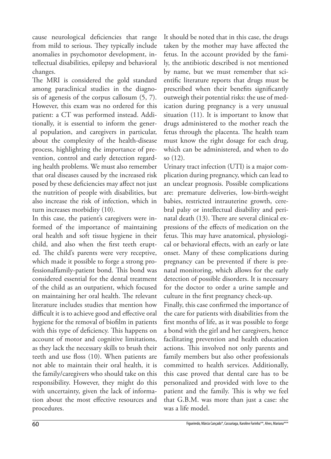cause neurological deficiencies that range from mild to serious. They typically include anomalies in psychomotor development, intellectual disabilities, epilepsy and behavioral changes.

The MRI is considered the gold standard among paraclinical studies in the diagnosis of agenesis of the corpus callosum (5, 7). However, this exam was no ordered for this patient: a CT was performed instead. Additionally, it is essential to inform the general population, and caregivers in particular, about the complexity of the health-disease process, highlighting the importance of prevention, control and early detection regarding health problems. We must also remember that oral diseases caused by the increased risk posed by these deficiencies may affect not just the nutrition of people with disabilities, but also increase the risk of infection, which in turn increases morbidity (10).

In this case, the patient's caregivers were informed of the importance of maintaining oral health and soft tissue hygiene in their child, and also when the first teeth erupted. The child's parents were very receptive, which made it possible to forge a strong professionalfamily-patient bond. This bond was considered essential for the dental treatment of the child as an outpatient, which focused on maintaining her oral health. The relevant literature includes studies that mention how difficult it is to achieve good and effective oral hygiene for the removal of biofilm in patients with this type of deficiency. This happens on account of motor and cognitive limitations, as they lack the necessary skills to brush their teeth and use floss (10). When patients are not able to maintain their oral health, it is the family/caregivers who should take on this responsibility. However, they might do this with uncertainty, given the lack of information about the most effective resources and procedures.

It should be noted that in this case, the drugs taken by the mother may have affected the fetus. In the account provided by the family, the antibiotic described is not mentioned by name, but we must remember that scientific literature reports that drugs must be prescribed when their benefits significantly outweigh their potential risks: the use of medication during pregnancy is a very unusual situation (11). It is important to know that drugs administered to the mother reach the fetus through the placenta. The health team must know the right dosage for each drug, which can be administered, and when to do so (12).

Urinary tract infection (UTI) is a major complication during pregnancy, which can lead to an unclear prognosis. Possible complications are: premature deliveries, low-birth-weight babies, restricted intrauterine growth, cerebral palsy or intellectual disability and perinatal death (13). There are several clinical expressions of the effects of medication on the fetus. This may have anatomical, physiological or behavioral effects, with an early or late onset. Many of these complications during pregnancy can be prevented if there is prenatal monitoring, which allows for the early detection of possible disorders. It is necessary for the doctor to order a urine sample and culture in the first pregnancy check-up.

Finally, this case confirmed the importance of the care for patients with disabilities from the first months of life, as it was possible to forge a bond with the girl and her caregivers, hence facilitating prevention and health education actions. This involved not only parents and family members but also other professionals committed to health services. Additionally, this case proved that dental care has to be personalized and provided with love to the patient and the family. This is why we feel that G.B.M. was more than just a case: she was a life model.